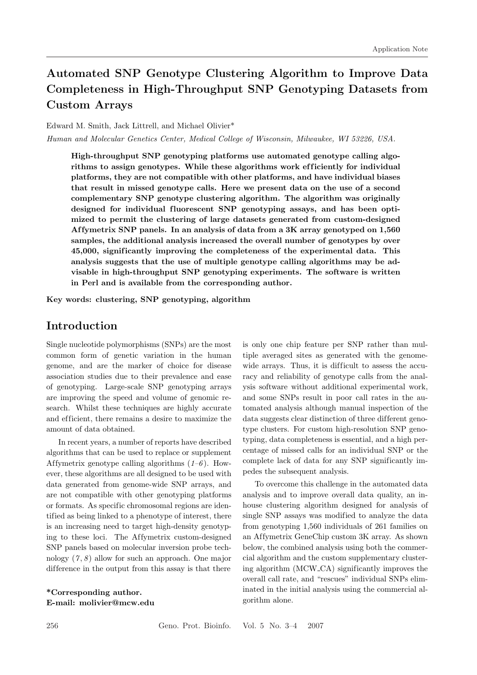# **Automated SNP Genotype Clustering Algorithm to Improve Data Completeness in High-Throughput SNP Genotyping Datasets from Custom Arrays**

#### Edward M. Smith, Jack Littrell, and Michael Olivier\*

*Human and Molecular Genetics Center, Medical College of Wisconsin, Milwaukee, WI 53226, USA.*

**High-throughput SNP genotyping platforms use automated genotype calling algo**rithms to assign genotypes. While these algorithms work efficiently for individual **platforms, they are not compatible with other platforms, and have individual biases that result in missed genotype calls. Here we present data on the use of a second complementary SNP genotype clustering algorithm. The algorithm was originally** designed for individual fluorescent SNP genotyping assays, and has been opti**mized to permit the clustering of large datasets generated from custom-designed Af fymetrix SNP panels. In an analysis of data from a 3K array genotyped on 1,560 samples, the additional analysis increased the overall number of genotypes by over 45,000, signif icantly improving the completeness of the experimental data. This analysis suggests that the use of multiple genotype calling algorithms may be advisable in high-throughput SNP genotyping experiments. The software is written in Perl and is available from the corresponding author.**

**Key words: clustering, SNP genotyping, algorithm**

### **Introduction**

Single nucleotide polymorphisms (SNPs) are the most common form of genetic variation in the human genome, and are the marker of choice for disease association studies due to their prevalence and ease of genotyping. Large-scale SNP genotyping arrays are improving the speed and volume of genomic research. Whilst these techniques are highly accurate and efficient, there remains a desire to maximize the amount of data obtained.

In recent years, a number of reports have described algorithms that can be used to replace or supplement Affymetrix genotype calling algorithms  $(1-6)$ . However, these algorithms are all designed to be used with data generated from genome-wide SNP arrays, and are not compatible with other genotyping platforms or formats. As specific chromosomal regions are identified as being linked to a phenotype of interest, there is an increasing need to target high-density genotyping to these loci. The Affymetrix custom-designed SNP panels based on molecular inversion probe technology (*7* , *8* ) allow for such an approach. One major difference in the output from this assay is that there

**\*Corresponding author. E-mail: molivier@mcw.edu** is only one chip feature per SNP rather than multiple averaged sites as generated with the genomewide arrays. Thus, it is difficult to assess the accuracy and reliability of genotype calls from the analysis software without additional experimental work, and some SNPs result in poor call rates in the automated analysis although manual inspection of the data suggests clear distinction of three different genotype clusters. For custom high-resolution SNP genotyping, data completeness is essential, and a high percentage of missed calls for an individual SNP or the complete lack of data for any SNP significantly impedes the subsequent analysis.

To overcome this challenge in the automated data analysis and to improve overall data quality, an inhouse clustering algorithm designed for analysis of single SNP assays was modified to analyze the data from genotyping 1,560 individuals of 261 families on an Affymetrix GeneChip custom 3K array. As shown below, the combined analysis using both the commercial algorithm and the custom supplementary clustering algorithm (MCW CA) significantly improves the overall call rate, and "rescues" individual SNPs eliminated in the initial analysis using the commercial algorithm alone.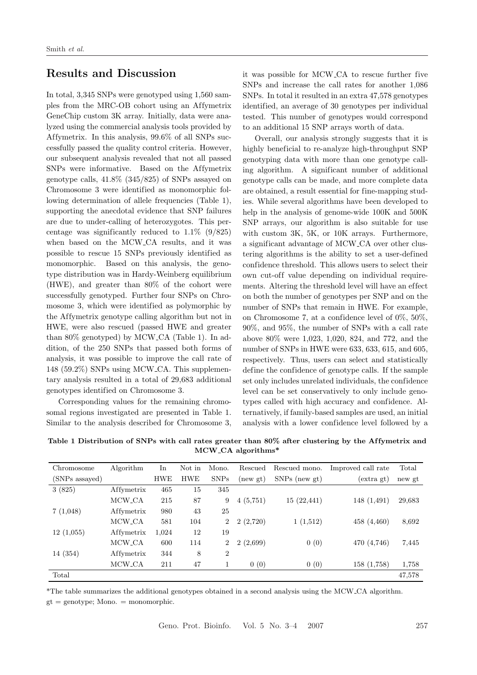### **Results and Discussion**

In total, 3,345 SNPs were genotyped using 1,560 samples from the MRC-OB cohort using an Affymetrix GeneChip custom 3K array. Initially, data were analyzed using the commercial analysis tools provided by Affymetrix. In this analysis,  $99.6\%$  of all SNPs successfully passed the quality control criteria. However, our subsequent analysis revealed that not all passed SNPs were informative. Based on the Affymetrix genotype calls, 41.8% (345/825) of SNPs assayed on Chromosome 3 were identified as monomorphic following determination of allele frequencies (Table 1), supporting the anecdotal evidence that SNP failures are due to under-calling of heterozygotes. This percentage was significantly reduced to  $1.1\%$  (9/825) when based on the MCW CA results, and it was possible to rescue 15 SNPs previously identified as monomorphic. Based on this analysis, the genotype distribution was in Hardy-Weinberg equilibrium (HWE), and greater than 80% of the cohort were successfully genotyped. Further four SNPs on Chromosome 3, which were identified as polymorphic by the Affymetrix genotype calling algorithm but not in HWE, were also rescued (passed HWE and greater than 80% genotyped) by MCW CA (Table 1). In addition, of the 250 SNPs that passed both forms of analysis, it was possible to improve the call rate of 148 (59.2%) SNPs using MCW CA. This supplementary analysis resulted in a total of 29,683 additional genotypes identified on Chromosome 3.

Corresponding values for the remaining chromosomal regions investigated are presented in Table 1. Similar to the analysis described for Chromosome 3, it was possible for MCW CA to rescue further five SNPs and increase the call rates for another 1,086 SNPs. In total it resulted in an extra 47,578 genotypes identified, an average of 30 genotypes per individual tested. This number of genotypes would correspond to an additional 15 SNP arrays worth of data.

Overall, our analysis strongly suggests that it is highly beneficial to re-analyze high-throughput SNP genotyping data with more than one genotype calling algorithm. A significant number of additional genotype calls can be made, and more complete data are obtained, a result essential for fine-mapping studies. While several algorithms have been developed to help in the analysis of genome-wide 100K and 500K SNP arrays, our algorithm is also suitable for use with custom 3K, 5K, or 10K arrays. Furthermore, a significant advantage of MCW CA over other clustering algorithms is the ability to set a user-defined confidence threshold. This allows users to select their own cut-off value depending on individual requirements. Altering the threshold level will have an effect on both the number of genotypes per SNP and on the number of SNPs that remain in HWE. For example, on Chromosome 7, at a confidence level of 0%, 50%, 90%, and 95%, the number of SNPs with a call rate above 80% were 1,023, 1,020, 824, and 772, and the number of SNPs in HWE were 633, 633, 615, and 605, respectively. Thus, users can select and statistically define the confidence of genotype calls. If the sample set only includes unrelated individuals, the confidence level can be set conservatively to only include genotypes called with high accuracy and confidence. Alternatively, if family-based samples are used, an initial analysis with a lower confidence level followed by a

Table 1 Distribution of SNPs with call rates greater than 80% after clustering by the Affymetrix and **MCW CA algorithms\***

| Chromosome     | Algorithm          | In         | Not in     | Mono.          | Rescued  | Rescued mono.   | Improved call rate | Total  |
|----------------|--------------------|------------|------------|----------------|----------|-----------------|--------------------|--------|
| (SNPs assayed) |                    | <b>HWE</b> | <b>HWE</b> | <b>SNPs</b>    | (newgt)  | $SNPs$ (new gt) | (extra gt)         | new gt |
| 3(825)         | Affymetrix         | 465        | 15         | 345            |          |                 |                    |        |
|                | MCW <sub>-CA</sub> | 215        | 87         | 9              | 4(5,751) | 15(22,441)      | 148 (1,491)        | 29,683 |
| 7(1,048)       | Affymetrix         | 980        | 43         | 25             |          |                 |                    |        |
|                | MCW_CA             | 581        | 104        | $\overline{2}$ | 2(2,720) | 1(1,512)        | 458 (4,460)        | 8,692  |
| 12(1,055)      | Affymetrix         | 1,024      | 12         | 19             |          |                 |                    |        |
|                | MCW <sub>-CA</sub> | 600        | 114        | $\overline{2}$ | 2(2,699) | 0(0)            | 470 (4,746)        | 7,445  |
| 14 (354)       | Affymetrix         | 344        | 8          | $\overline{2}$ |          |                 |                    |        |
|                | MCW <sub>-CA</sub> | 211        | 47         | 1              | 0(0)     | 0(0)            | 158(1,758)         | 1,758  |
| Total          |                    |            |            |                |          |                 |                    | 47,578 |

\*The table summarizes the additional genotypes obtained in a second analysis using the MCW CA algorithm.  $gt =$  genotype; Mono.  $=$  monomorphic.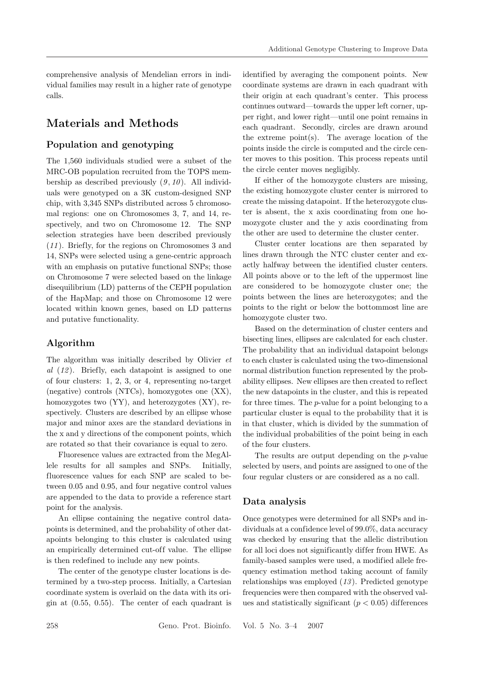comprehensive analysis of Mendelian errors in individual families may result in a higher rate of genotype calls.

# **Materials and Methods**

### **Population and genotyping**

The 1,560 individuals studied were a subset of the MRC-OB population recruited from the TOPS membership as described previously (*9* , *10* ). All individuals were genotyped on a 3K custom-designed SNP chip, with 3,345 SNPs distributed across 5 chromosomal regions: one on Chromosomes 3, 7, and 14, respectively, and two on Chromosome 12. The SNP selection strategies have been described previously (*11* ). Briefly, for the regions on Chromosomes 3 and 14, SNPs were selected using a gene-centric approach with an emphasis on putative functional SNPs; those on Chromosome 7 were selected based on the linkage disequilibrium (LD) patterns of the CEPH population of the HapMap; and those on Chromosome 12 were located within known genes, based on LD patterns and putative functionality.

#### **Algorithm**

The algorithm was initially described by Olivier *et al* (*12* ). Briefly, each datapoint is assigned to one of four clusters: 1, 2, 3, or 4, representing no-target (negative) controls (NTCs), homozygotes one (XX), homozygotes two (YY), and heterozygotes (XY), respectively. Clusters are described by an ellipse whose major and minor axes are the standard deviations in the x and y directions of the component points, which are rotated so that their covariance is equal to zero.

Fluoresence values are extracted from the MegAllele results for all samples and SNPs. Initially, fluorescence values for each SNP are scaled to between 0.05 and 0.95, and four negative control values are appended to the data to provide a reference start point for the analysis.

An ellipse containing the negative control datapoints is determined, and the probability of other datapoints belonging to this cluster is calculated using an empirically determined cut-off value. The ellipse is then redefined to include any new points.

The center of the genotype cluster locations is determined by a two-step process. Initially, a Cartesian coordinate system is overlaid on the data with its origin at (0.55, 0.55). The center of each quadrant is identified by averaging the component points. New coordinate systems are drawn in each quadrant with their origin at each quadrant's center. This process continues outward—towards the upper left corner, upper right, and lower right—until one point remains in each quadrant. Secondly, circles are drawn around the extreme  $point(s)$ . The average location of the points inside the circle is computed and the circle center moves to this position. This process repeats until the circle center moves negligibly.

If either of the homozygote clusters are missing, the existing homozygote cluster center is mirrored to create the missing datapoint. If the heterozygote cluster is absent, the x axis coordinating from one homozygote cluster and the y axis coordinating from the other are used to determine the cluster center.

Cluster center locations are then separated by lines drawn through the NTC cluster center and exactly halfway between the identified cluster centers. All points above or to the left of the uppermost line are considered to be homozygote cluster one; the points between the lines are heterozygotes; and the points to the right or below the bottommost line are homozygote cluster two.

Based on the determination of cluster centers and bisecting lines, ellipses are calculated for each cluster. The probability that an individual datapoint belongs to each cluster is calculated using the two-dimensional normal distribution function represented by the probability ellipses. New ellipses are then created to reflect the new datapoints in the cluster, and this is repeated for three times. The p-value for a point belonging to a particular cluster is equal to the probability that it is in that cluster, which is divided by the summation of the individual probabilities of the point being in each of the four clusters.

The results are output depending on the p-value selected by users, and points are assigned to one of the four regular clusters or are considered as a no call.

#### **Data analysis**

Once genotypes were determined for all SNPs and individuals at a confidence level of 99.0%, data accuracy was checked by ensuring that the allelic distribution for all loci does not significantly differ from HWE. As family-based samples were used, a modified allele frequency estimation method taking account of family relationships was employed (*13* ). Predicted genotype frequencies were then compared with the observed values and statistically significant ( $p < 0.05$ ) differences